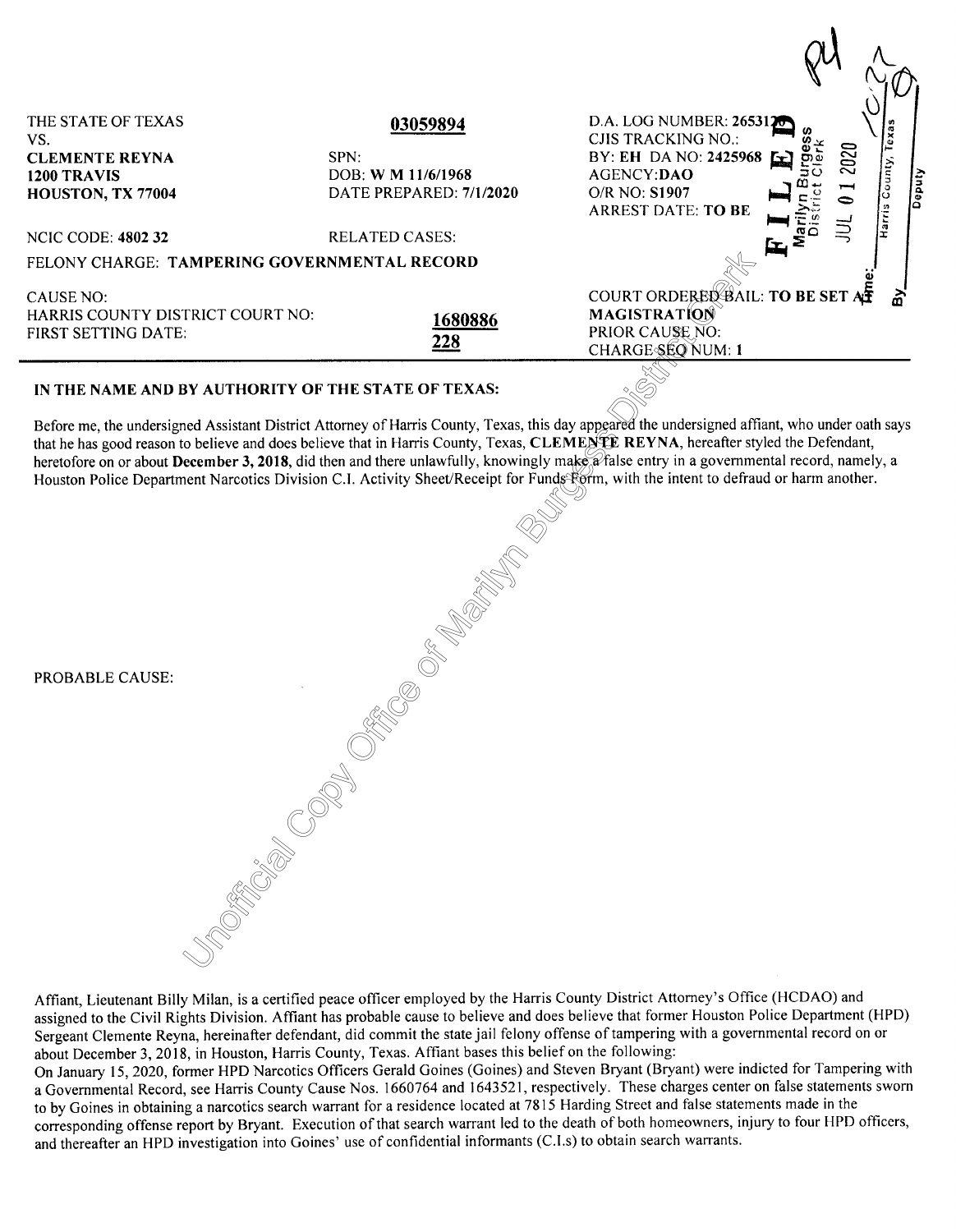| THE STATE OF TEXAS<br>VS.                                                                                                                      | 03059894                | D.A. LOG NUMBER: 2653120<br>CJIS TRACKING NO.:                          |  |
|------------------------------------------------------------------------------------------------------------------------------------------------|-------------------------|-------------------------------------------------------------------------|--|
| <b>CLEMENTE REYNA</b>                                                                                                                          | SPN:                    | 2020<br>BY: EH DA NO: 2425968                                           |  |
| 1200 TRAVIS                                                                                                                                    | DOB: W M 11/6/1968      | ounty,<br>AGENCY:DAO                                                    |  |
| HOUSTON, TX 77004                                                                                                                              | DATE PREPARED: 7/1/2020 | Deputy<br>$\overline{\phantom{a}}$<br>$O/R$ NO: $S1907$<br>$\circ$<br>0 |  |
|                                                                                                                                                |                         | Harris<br><b>ARREST DATE: TO BE</b>                                     |  |
| <b>NCIC CODE: 4802 32</b>                                                                                                                      | <b>RELATED CASES:</b>   | عا                                                                      |  |
| FELONY CHARGE: TAMPERING GOVERNMENTAL RECORD                                                                                                   |                         |                                                                         |  |
| CAUSE NO:                                                                                                                                      |                         | COURT ORDERED BAIL: TO BE SET AF                                        |  |
| HARRIS COUNTY DISTRICT COURT NO:                                                                                                               | 1680886                 | <b>MAGISTRATION</b>                                                     |  |
| <b>FIRST SETTING DATE:</b>                                                                                                                     |                         | PRIOR CAUSE NO:                                                         |  |
|                                                                                                                                                | 228                     | CHARGE SEQ NUM: 1                                                       |  |
| IN THE NAME AND BY AUTHORITY OF THE STATE OF TEXAS:                                                                                            |                         |                                                                         |  |
| Before me, the undersigned Assistant District Attorney of Harris County, Texas, this day appeared the undersigned affiant, who under oath says |                         |                                                                         |  |

 $\overline{\phantom{a}}$ 

## **IN THE NAME AND BY AUTHORITY OF THE STATE OF TEXAS:**

s, dus duy depourde.<br>
S. CLEMENTE l'ingly make a fals<br>
or Funds Form, wi that he has good reason to believe and does believe that in Harris County, Texas, **CLEMENTE REYNA,** hereafter styled the Defendant, heretofore on or about **December 3, 2018**, did then and there unlawfully, knowingly make a false entry in a governmental record, namely, a Houston Police Department Narcotics Division C.I. Activity Sheet/Receipt for Funds Form, with the intent to defraud or harm another.

| PROBABLE CAUSE: | <b>Service Service Control Control Control Control Control Control Control Control Control Control Control Control Control Control Control Control Control Control Control Control Control Control Control Control Control Contr</b> |
|-----------------|--------------------------------------------------------------------------------------------------------------------------------------------------------------------------------------------------------------------------------------|
|                 |                                                                                                                                                                                                                                      |
|                 |                                                                                                                                                                                                                                      |

Affiant, Lieutenant Billy Milan, is a certified peace officer employed by the Harris County District Attorney's Office (HCDAO) and assigned to the Civil Rights Division. Affiant has probable cause to believe and does believe that former Houston Police Department (HPD) Sergeant Clemente Reyna, hereinafter defendant, did commit the state jail felony offense of tampering with a governmental record on or about December 3, 2018, in Houston, Harris County, Texas. Affiant bases this belief on the following:

On January 15, 2020, former HPD Narcotics Officers Gerald Goines (Goines) and Steven Bryant (Bryant) were indicted for Tampering with a Governmental Record, see Harris County Cause Nos. 1660764 and I 643521, respectively. These charges center on false statements sworn to by Goines in obtaining a narcotics search warrant for a residence located at 7815 Harding Street and false statements made in the corresponding offense report by Bryant. Execution of that search warrant led to the death of both homeowners, injury to four HPD officers, and thereafter an HPD investigation into Goines' use of confidential informants (C.l.s) to obtain search warrants.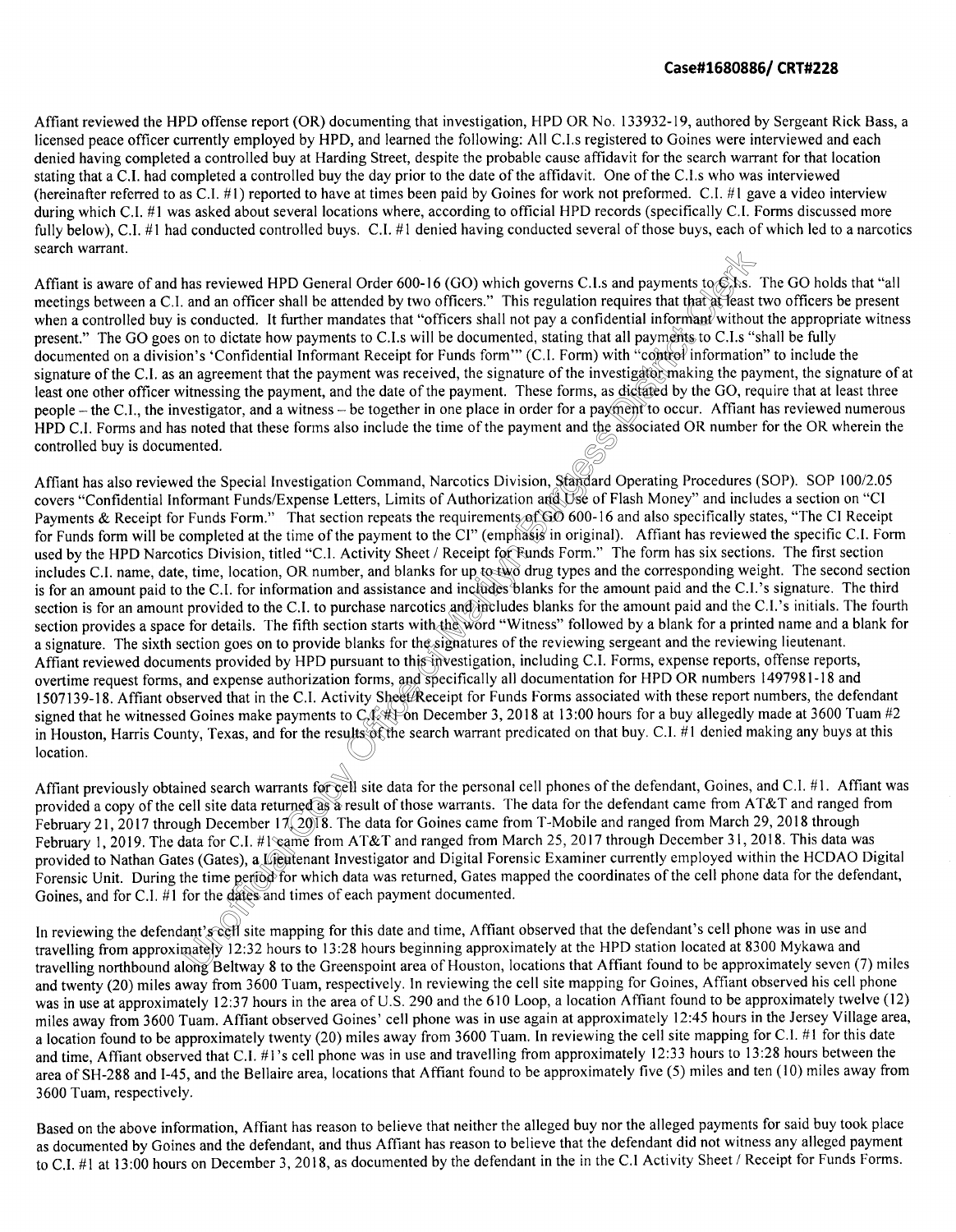## **Case#1680886/ CRT#228**

Affiant reviewed the HPD offense report (OR) documenting that investigation, HPD OR No. 133932-19, authored by Sergeant Rick Bass, a licensed peace officer currently employed by HPD, and learned the following: All C.I.s registered to Goines were interviewed and each denied having completed a controlled buy at Harding Street, despite the probable cause affidavit for the search warrant for that location stating that a C.I. had completed a controlled buy the day prior to the date of the affidavit. One of the C.I.s who was interviewed (hereinafter referred to as C.I. #!) reported to have at times been paid by Goines for work not preformed. C.I. #1 gave a video interview during which C.I. #1 was asked about several locations where, according to official HPD records (specifically C.I. Forms discussed more fully below), C.I. #1 had conducted controlled buys. C.I. #1 denied having conducted several of those buys, each of which led to a narcotics search warrant.

t all payments t<br>with "control in<br>with "control in<br>s dictated by the<br>wment to occur. nts to Eks.<br>that at least t<br>man! without Affiant is aware of and has reviewed HPD General Order 600-16 (GO) which governs C.I.s and payments to C.I.s. The GO holds that "all meetings between a C.I. and an officer shall be attended by two officers." This regulation requires that that at least two officers be present when a controlled buy is conducted. It further mandates that "officers shall not pay a confidential informant without the appropriate witness present." The GO goes on to dictate how payments to C.I.s will be documented, stating that all payments to C.I.s "shall be fully documented on a division's 'Confidential Informant Receipt for Funds form'" (C.I. Form) with "control information" to include the signature of the C.I. as an agreement that the payment was received, the signature of the investigator making the payment, the signature of at least one other officer witnessing the payment, and the date of the payment. These forms, as dictated by the GO, require that at least three people – the C.I., the investigator, and a witness – be together in one place in order for a payment to occur. Affiant has reviewed numerous HPD C.I. Forms and has noted that these forms also include the time of the payment and the associated OR number for the OR wherein the controlled buy is documented.

In forms, and s<br>ivity Sheet Re<br>to C (k#1 on D<br>ults of the sea a signature. The sixth section goes on to provide blanks for the signatures of the reviewing sergeant and the reviewing lieutenant.<br>Affiant reviewed documents provided by HPD pursuant to this investigation, including C.I. Receipt for Furtherm of the distribution of the theorem  $\frac{1}{2}$ <br>the word "With the word "With signatures of the ayment and the as<br>ision, Standard O<br>ion and Use of Fla<br>s of GO 600-16 an Affiant has also reviewed the Special Investigation Command, Narcotics Division, Standard Operating Procedures (SOP). SOP I 00/2.05 covers "Confidential Informant Funds/Expense Letters, Limits of Authorization and Use of Flash Money" and includes a section on "CI Payments & Receipt for Funds Form." That section repeats the requirements of GO 600-16 and also specifically states, "The CI Receipt for Funds form will be completed at the time of the payment to the CI" (emphasis in original). Affiant has reviewed the specific C.I. Form used by the HPD Narcotics Division, titled "C.I. Activity Sheet / Receipt for Funds Form." The form has six sections. The first section includes C.I. name, date, time, location, OR number, and blanks for up to two drug types and the corresponding weight. The second section is for an amount paid to the C.I. for information and assistance and includes blanks for the amount paid and the C.I.'s signature. The third section is for an amount provided to the C.I. to purchase narcotics and includes blanks for the amount paid and the C.I.'s initials. The fourth section provides a space for details. The fifth section starts with the word "Witness" followed by a blank for a printed name and a blank for a signature. The sixth section goes on to provide blanks for the signatures of the reviewing sergeant and the reviewing lieutenant. overtime request forms, and expense authorization forms, and specifically all documentation for HPD OR numbers 1497981-18 and 1507139-18. Affiant observed that in the C.I. Activity Sheet/Receipt for Funds Forms associated with these report numbers, the defendant signed that he witnessed Goines make payments to  $C_4$ .  $\leftrightarrow$  on December 3, 2018 at 13:00 hours for a buy allegedly made at 3600 Tuam #2 in Houston, Harris County, Texas, and for the results of the search warrant predicated on that buy. C.I. #1 denied making any buys at this location.

ata for C.I. #1 cam<br>es (Gates), a Lieute<br>he time period for v<br>for the dates and tir<br>ant's cell site mapp<br>mately 12:32 hours<br>long Beltway 8 to tl ants for cell :<br>irned as a res<br>7 (2018. The<br>ame from A Affiant previously obtained search warrants for cell site data for the personal cell phones of the defendant, Goines, and C.I. #1. Affiant was provided a copy of the cell site data returned as a result of those warrants. The data for the defendant came from AT&T and ranged from February 21, 2017 through December 17 (2018. The data for Goines came from T-Mobile and ranged from March 29, 2018 through February 1, 2019. The data for C.I. #1 came from AT&T and ranged from March 25, 2017 through December 31, 2018. This data was provided to Nathan Gates (Gates), a Lieutenant Investigator and Digital Forensic Examiner currently employed within the HCDAO Digital Forensic Unit. During the time period for which data was returned, Gates mapped the coordinates of the cell phone data for the defendant, Goines, and for C.I.  $#1$  for the dates and times of each payment documented.

In reviewing the defendant's cell site mapping for this date and time, Affiant observed that the defendant's cell phone was in use and travelling from approximately 12:32 hours to 13:28 hours beginning approximately at the HPD station located at 8300 Mykawa and travelling northbound along Beltway 8 to the Greenspoint area of Houston, locations that Affiant found to be approximately seven (7) miles and twenty (20) miles away from 3600 Tuam, respectively. In reviewing the cell site mapping for Goines, Affiant observed his cell phone was in use at approximately 12:37 hours in the area of U.S. 290 and the 610 Loop, a location Affiant found to be approximately twelve (12) miles away from 3600 Tuam. Affiant observed Goines' cell phone was in use again at approximately 12:45 hours in the Jersey Village area, a location found to be approximately twenty (20) miles away from 3600 Tuam. In reviewing the cell site mapping for C.I. #1 for this date and time, Affiant observed that C.I. #1 's cell phone was in use and travelling from approximately 12:33 hours to 13:28 hours between the area of SH-288 and I-45, and the Bellaire area, locations that Affiant found to be approximately five (5) miles and ten (10) miles away from 3600 Tuam, respectively.

Based on the above information, Affiant has reason to believe that neither the alleged buy nor the alleged payments for said buy took place as documented by Goines and the defendant, and thus Affiant has reason to believe that the defendant did not witness any alleged payment to C.I. #1 at 13:00 hours on December 3, 2018, as documented by the defendant in the in the C.I Activity Sheet / Receipt for Funds Forms.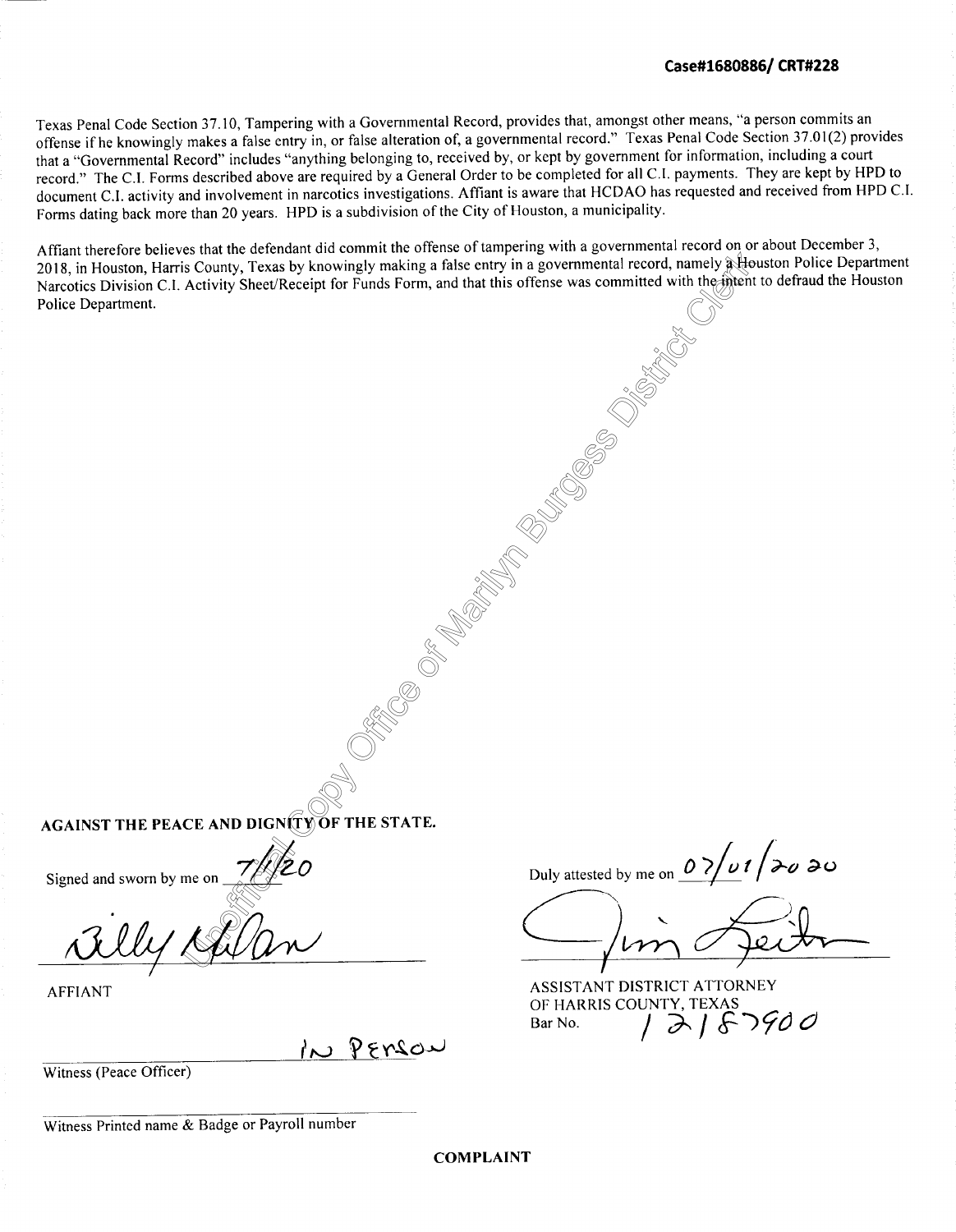Texas Penal Code Section 37.10, Tampering with a Governmental Record, provides that, amongst other means, "a person commits an offense ifhe knowingly makes a false entry in, or false alteration of, a governmental record." Texas Penal Code Section 37.01(2) provides that a "Governmental Record" includes "anything belonging to, received by, or kept by government for information, including a court record." The C.I. Forms described above are required by a General Order to be completed for all C.I. payments. They are kept by HPD to document C.I. activity and involvement in narcotics investigations. Affiant is aware that HCDAO has requested and received from HPD C.J. Forms dating back more than 20 years. HPD is a subdivision of the City of Houston, a municipality.

Affiant therefore believes that the defendant did commit the offerse of tampering with a governmental record on of about December 5,<br>2018, in Houston, Harris County, Texas by knowingly making a false entry in a governmenta Affiant therefore believes that the defendant did commit the offense of tampering with a governmental record on or about December 3, Narcotics Division C.I. Activity Sheet/Receipt for Funds Form, and that this offense was committed with the intent to defraud the Houston Police Department.

External<br>Copyright of the US **AGAINST THE PEACE AND DIGNITY OF THE STATE.** 

Signed and sworn by me on

ne on 7/1/20 *QM/~* 

AFFIANT

IN PERSON

Office C

of-

Mari<br>Historia<br>Historia

Burges<br>Participation<br>Participation

Diss<sub>tric</sub>t Strict Strict Strict Strict Strict Strict Strict Strict Strict Strict Strict Strict Strict Strict Strict Strict Strict Strict Strict Strict Strict Strict Strict Strict Strict Strict Strict Strict Strict Strict

Witness (Peace Officer)

Duly attested by me on  $\frac{\partial}{\partial}$   $\frac{\partial}{\partial}$  *p*  $\frac{\partial}{\partial}$  *d* 

Juin Jei<del>lr</del>

ASSISTANT DISTRICT ATTORNEY OF HARRIS COUNTY, TEXAS Bar No. / **"J-.-** / **f-***;ye) C)* 

Witness Printed name & Badge or Payroll number